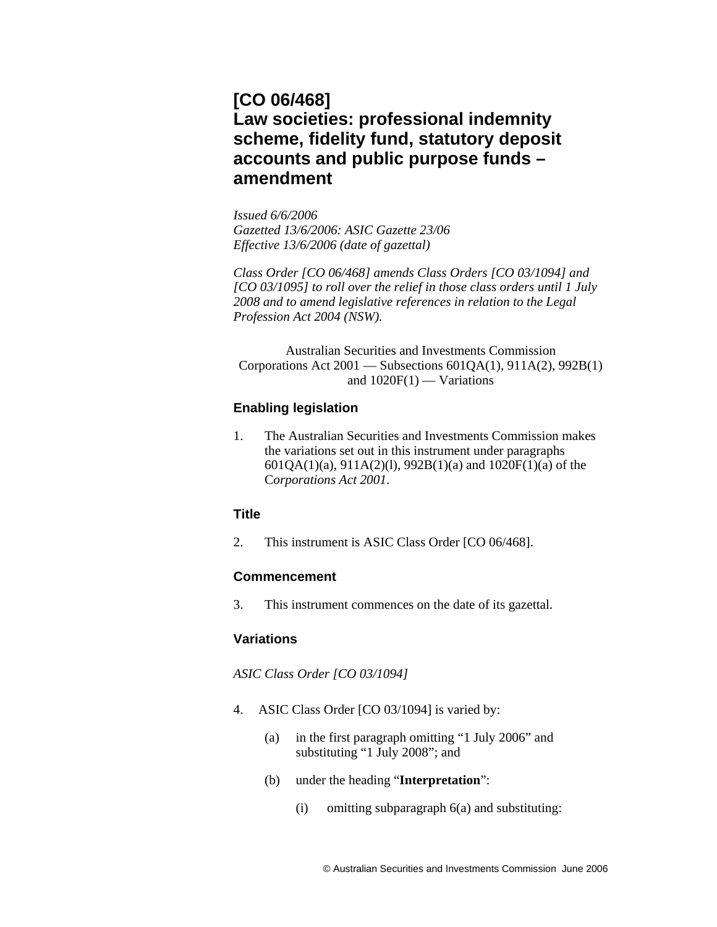# **[CO 06/468] Law societies: professional indemnity scheme, fidelity fund, statutory deposit accounts and public purpose funds – amendment**

*Issued 6/6/2006 Gazetted 13/6/2006: ASIC Gazette 23/06 Effective 13/6/2006 (date of gazettal)* 

*Class Order [CO 06/468] amends Class Orders [CO 03/1094] and [CO 03/1095] to roll over the relief in those class orders until 1 July 2008 and to amend legislative references in relation to the Legal Profession Act 2004 (NSW).* 

Australian Securities and Investments Commission Corporations Act 2001 — Subsections 601QA(1), 911A(2), 992B(1) and  $1020F(1)$  — Variations

## **Enabling legislation**

1. The Australian Securities and Investments Commission makes the variations set out in this instrument under paragraphs 601QA(1)(a), 911A(2)(l), 992B(1)(a) and 1020F(1)(a) of the C*orporations Act 2001*.

## **Title**

2. This instrument is ASIC Class Order [CO 06/468].

## **Commencement**

3. This instrument commences on the date of its gazettal.

## **Variations**

*ASIC Class Order [CO 03/1094]* 

- 4. ASIC Class Order [CO 03/1094] is varied by:
	- (a) in the first paragraph omitting "1 July 2006" and substituting "1 July 2008"; and
	- (b) under the heading "**Interpretation**":
		- (i) omitting subparagraph 6(a) and substituting: